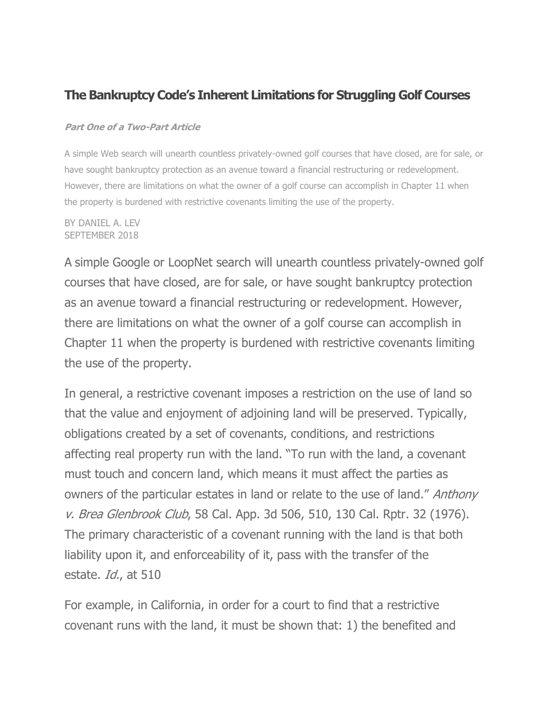#### **The Bankruptcy Code's Inherent Limitations for Struggling Golf Courses**

#### **Part One of a Two-Part Article**

A simple Web search will unearth countless privately-owned golf courses that have closed, are for sale, or have sought bankruptcy protection as an avenue toward a financial restructuring or redevelopment. However, there are limitations on what the owner of a golf course can accomplish in Chapter 11 when the property is burdened with restrictive covenants limiting the use of the property.

BY DANIEL A. LEV SEPTEMBER 2018

A simple Google or LoopNet search will unearth countless privately-owned golf courses that have closed, are for sale, or have sought bankruptcy protection as an avenue toward a financial restructuring or redevelopment. However, there are limitations on what the owner of a golf course can accomplish in Chapter 11 when the property is burdened with restrictive covenants limiting the use of the property.

In general, a restrictive covenant imposes a restriction on the use of land so that the value and enjoyment of adjoining land will be preserved. Typically, obligations created by a set of covenants, conditions, and restrictions affecting real property run with the land. "To run with the land, a covenant must touch and concern land, which means it must affect the parties as owners of the particular estates in land or relate to the use of land." Anthony v. Brea Glenbrook Club, 58 Cal. App. 3d 506, 510, 130 Cal. Rptr. 32 (1976). The primary characteristic of a covenant running with the land is that both liability upon it, and enforceability of it, pass with the transfer of the estate. *Id.*, at 510

For example, in California, in order for a court to find that a restrictive covenant runs with the land, it must be shown that: 1) the benefited and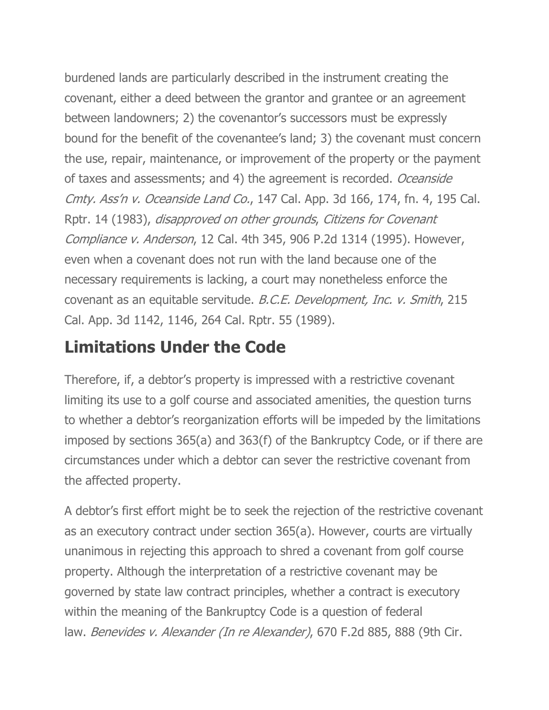burdened lands are particularly described in the instrument creating the covenant, either a deed between the grantor and grantee or an agreement between landowners; 2) the covenantor's successors must be expressly bound for the benefit of the covenantee's land; 3) the covenant must concern the use, repair, maintenance, or improvement of the property or the payment of taxes and assessments; and 4) the agreement is recorded. Oceanside Cmty. Ass'n v. Oceanside Land Co., 147 Cal. App. 3d 166, 174, fn. 4, 195 Cal. Rptr. 14 (1983), disapproved on other grounds, Citizens for Covenant Compliance v. Anderson, 12 Cal. 4th 345, 906 P.2d 1314 (1995). However, even when a covenant does not run with the land because one of the necessary requirements is lacking, a court may nonetheless enforce the covenant as an equitable servitude. B.C.E. Development, Inc. v. Smith, 215 Cal. App. 3d 1142, 1146, 264 Cal. Rptr. 55 (1989).

## **Limitations Under the Code**

Therefore, if, a debtor's property is impressed with a restrictive covenant limiting its use to a golf course and associated amenities, the question turns to whether a debtor's reorganization efforts will be impeded by the limitations imposed by sections 365(a) and 363(f) of the Bankruptcy Code, or if there are circumstances under which a debtor can sever the restrictive covenant from the affected property.

A debtor's first effort might be to seek the rejection of the restrictive covenant as an executory contract under section 365(a). However, courts are virtually unanimous in rejecting this approach to shred a covenant from golf course property. Although the interpretation of a restrictive covenant may be governed by state law contract principles, whether a contract is executory within the meaning of the Bankruptcy Code is a question of federal law. Benevides v. Alexander (In re Alexander), 670 F.2d 885, 888 (9th Cir.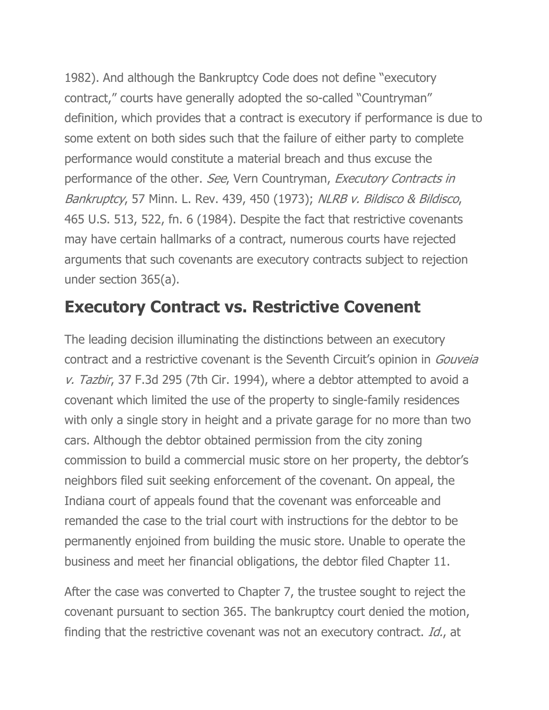1982). And although the Bankruptcy Code does not define "executory contract," courts have generally adopted the so-called "Countryman" definition, which provides that a contract is executory if performance is due to some extent on both sides such that the failure of either party to complete performance would constitute a material breach and thus excuse the performance of the other. See, Vern Countryman, Executory Contracts in Bankruptcy, 57 Minn. L. Rev. 439, 450 (1973); NLRB v. Bildisco & Bildisco, 465 U.S. 513, 522, fn. 6 (1984). Despite the fact that restrictive covenants may have certain hallmarks of a contract, numerous courts have rejected arguments that such covenants are executory contracts subject to rejection under section 365(a).

#### **Executory Contract vs. Restrictive Covenent**

The leading decision illuminating the distinctions between an executory contract and a restrictive covenant is the Seventh Circuit's opinion in *Gouveia* v. Tazbir, 37 F.3d 295 (7th Cir. 1994), where a debtor attempted to avoid a covenant which limited the use of the property to single-family residences with only a single story in height and a private garage for no more than two cars. Although the debtor obtained permission from the city zoning commission to build a commercial music store on her property, the debtor's neighbors filed suit seeking enforcement of the covenant. On appeal, the Indiana court of appeals found that the covenant was enforceable and remanded the case to the trial court with instructions for the debtor to be permanently enjoined from building the music store. Unable to operate the business and meet her financial obligations, the debtor filed Chapter 11.

After the case was converted to Chapter 7, the trustee sought to reject the covenant pursuant to section 365. The bankruptcy court denied the motion, finding that the restrictive covenant was not an executory contract. Id., at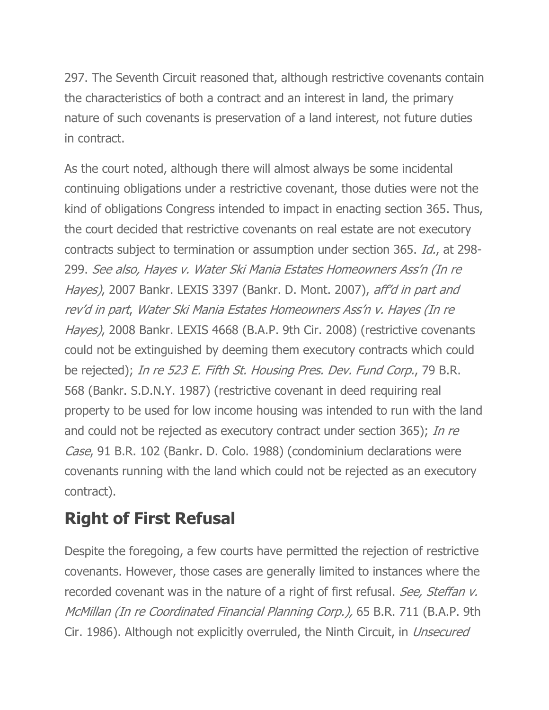297. The Seventh Circuit reasoned that, although restrictive covenants contain the characteristics of both a contract and an interest in land, the primary nature of such covenants is preservation of a land interest, not future duties in contract.

As the court noted, although there will almost always be some incidental continuing obligations under a restrictive covenant, those duties were not the kind of obligations Congress intended to impact in enacting section 365. Thus, the court decided that restrictive covenants on real estate are not executory contracts subject to termination or assumption under section 365. Id., at 298- 299. See also, Hayes v. Water Ski Mania Estates Homeowners Ass'n (In re Hayes), 2007 Bankr. LEXIS 3397 (Bankr. D. Mont. 2007), aff'd in part and rev'd in part, Water Ski Mania Estates Homeowners Ass'n v. Hayes (In re Hayes), 2008 Bankr. LEXIS 4668 (B.A.P. 9th Cir. 2008) (restrictive covenants could not be extinguished by deeming them executory contracts which could be rejected); In re 523 E. Fifth St. Housing Pres. Dev. Fund Corp., 79 B.R. 568 (Bankr. S.D.N.Y. 1987) (restrictive covenant in deed requiring real property to be used for low income housing was intended to run with the land and could not be rejected as executory contract under section 365); In re Case, 91 B.R. 102 (Bankr. D. Colo. 1988) (condominium declarations were covenants running with the land which could not be rejected as an executory contract).

# **Right of First Refusal**

Despite the foregoing, a few courts have permitted the rejection of restrictive covenants. However, those cases are generally limited to instances where the recorded covenant was in the nature of a right of first refusal. See, Steffan v. McMillan (In re Coordinated Financial Planning Corp.), 65 B.R. 711 (B.A.P. 9th Cir. 1986). Although not explicitly overruled, the Ninth Circuit, in *Unsecured*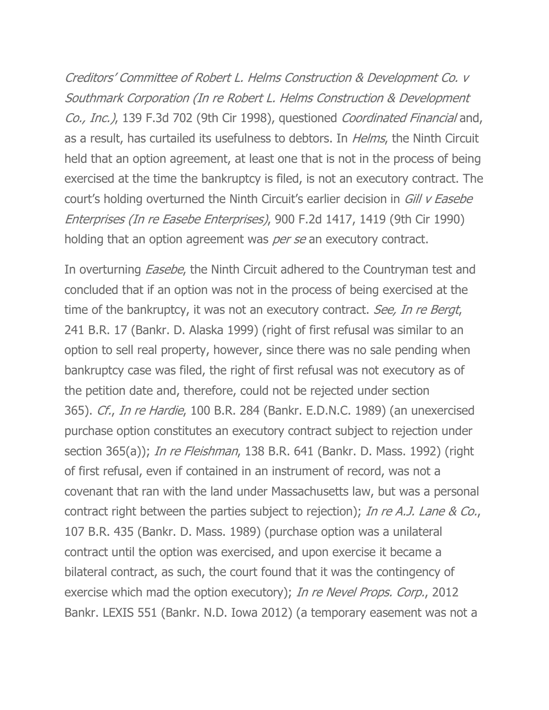Creditors' Committee of Robert L. Helms Construction & Development Co. v Southmark Corporation (In re Robert L. Helms Construction & Development Co., Inc.), 139 F.3d 702 (9th Cir 1998), questioned Coordinated Financial and, as a result, has curtailed its usefulness to debtors. In *Helms*, the Ninth Circuit held that an option agreement, at least one that is not in the process of being exercised at the time the bankruptcy is filed, is not an executory contract. The court's holding overturned the Ninth Circuit's earlier decision in Gill v Easebe Enterprises (In re Easebe Enterprises), 900 F.2d 1417, 1419 (9th Cir 1990) holding that an option agreement was per se an executory contract.

In overturning *Easebe*, the Ninth Circuit adhered to the Countryman test and concluded that if an option was not in the process of being exercised at the time of the bankruptcy, it was not an executory contract. See, In re Bergt, 241 B.R. 17 (Bankr. D. Alaska 1999) (right of first refusal was similar to an option to sell real property, however, since there was no sale pending when bankruptcy case was filed, the right of first refusal was not executory as of the petition date and, therefore, could not be rejected under section 365). Cf., In re Hardie, 100 B.R. 284 (Bankr. E.D.N.C. 1989) (an unexercised purchase option constitutes an executory contract subject to rejection under section 365(a)); *In re Fleishman*, 138 B.R. 641 (Bankr. D. Mass. 1992) (right of first refusal, even if contained in an instrument of record, was not a covenant that ran with the land under Massachusetts law, but was a personal contract right between the parties subject to rejection); In re A.J. Lane & Co., 107 B.R. 435 (Bankr. D. Mass. 1989) (purchase option was a unilateral contract until the option was exercised, and upon exercise it became a bilateral contract, as such, the court found that it was the contingency of exercise which mad the option executory); In re Nevel Props. Corp., 2012 Bankr. LEXIS 551 (Bankr. N.D. Iowa 2012) (a temporary easement was not a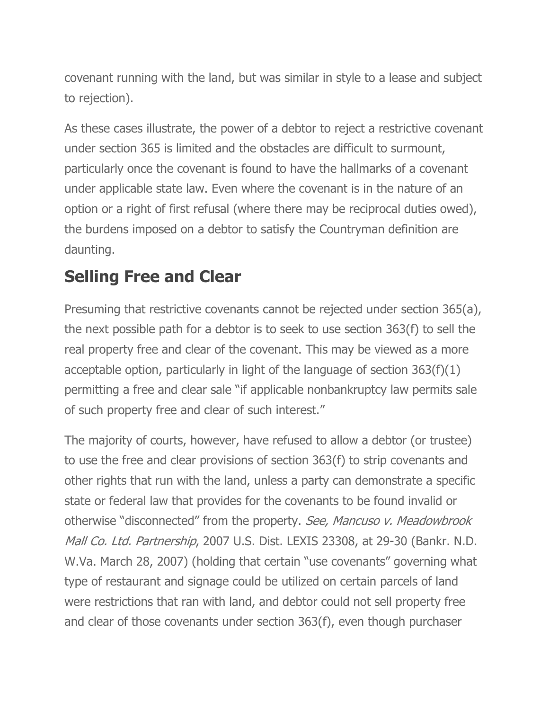covenant running with the land, but was similar in style to a lease and subject to rejection).

As these cases illustrate, the power of a debtor to reject a restrictive covenant under section 365 is limited and the obstacles are difficult to surmount, particularly once the covenant is found to have the hallmarks of a covenant under applicable state law. Even where the covenant is in the nature of an option or a right of first refusal (where there may be reciprocal duties owed), the burdens imposed on a debtor to satisfy the Countryman definition are daunting.

## **Selling Free and Clear**

Presuming that restrictive covenants cannot be rejected under section 365(a), the next possible path for a debtor is to seek to use section 363(f) to sell the real property free and clear of the covenant. This may be viewed as a more acceptable option, particularly in light of the language of section 363(f)(1) permitting a free and clear sale "if applicable nonbankruptcy law permits sale of such property free and clear of such interest."

The majority of courts, however, have refused to allow a debtor (or trustee) to use the free and clear provisions of section 363(f) to strip covenants and other rights that run with the land, unless a party can demonstrate a specific state or federal law that provides for the covenants to be found invalid or otherwise "disconnected" from the property. See, Mancuso v. Meadowbrook Mall Co. Ltd. Partnership, 2007 U.S. Dist. LEXIS 23308, at 29-30 (Bankr. N.D. W.Va. March 28, 2007) (holding that certain "use covenants" governing what type of restaurant and signage could be utilized on certain parcels of land were restrictions that ran with land, and debtor could not sell property free and clear of those covenants under section 363(f), even though purchaser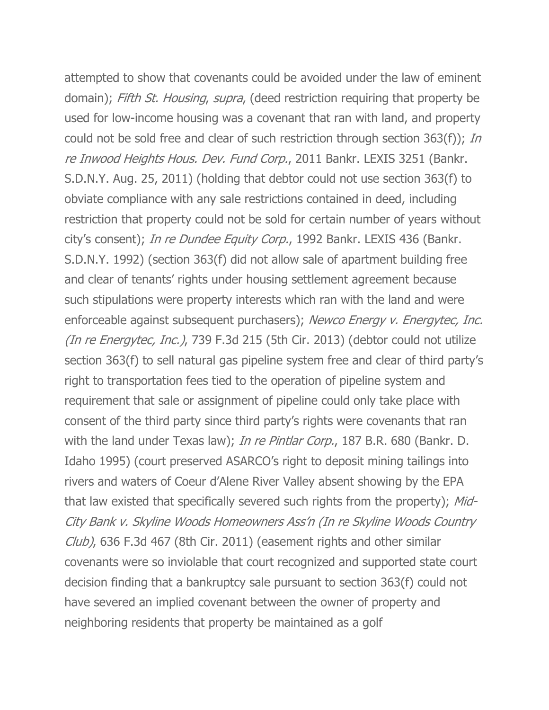attempted to show that covenants could be avoided under the law of eminent domain); Fifth St. Housing, supra, (deed restriction requiring that property be used for low-income housing was a covenant that ran with land, and property could not be sold free and clear of such restriction through section 363(f)); In re Inwood Heights Hous. Dev. Fund Corp., 2011 Bankr. LEXIS 3251 (Bankr. S.D.N.Y. Aug. 25, 2011) (holding that debtor could not use section 363(f) to obviate compliance with any sale restrictions contained in deed, including restriction that property could not be sold for certain number of years without city's consent); In re Dundee Equity Corp., 1992 Bankr. LEXIS 436 (Bankr. S.D.N.Y. 1992) (section 363(f) did not allow sale of apartment building free and clear of tenants' rights under housing settlement agreement because such stipulations were property interests which ran with the land and were enforceable against subsequent purchasers); Newco Energy v. Energytec, Inc. (*In re Energytec, Inc.*), 739 F.3d 215 (5th Cir. 2013) (debtor could not utilize section 363(f) to sell natural gas pipeline system free and clear of third party's right to transportation fees tied to the operation of pipeline system and requirement that sale or assignment of pipeline could only take place with consent of the third party since third party's rights were covenants that ran with the land under Texas law); In re Pintlar Corp., 187 B.R. 680 (Bankr. D. Idaho 1995) (court preserved ASARCO's right to deposit mining tailings into rivers and waters of Coeur d'Alene River Valley absent showing by the EPA that law existed that specifically severed such rights from the property); Mid-City Bank v. Skyline Woods Homeowners Ass'n (In re Skyline Woods Country Club), 636 F.3d 467 (8th Cir. 2011) (easement rights and other similar covenants were so inviolable that court recognized and supported state court decision finding that a bankruptcy sale pursuant to section 363(f) could not have severed an implied covenant between the owner of property and neighboring residents that property be maintained as a golf